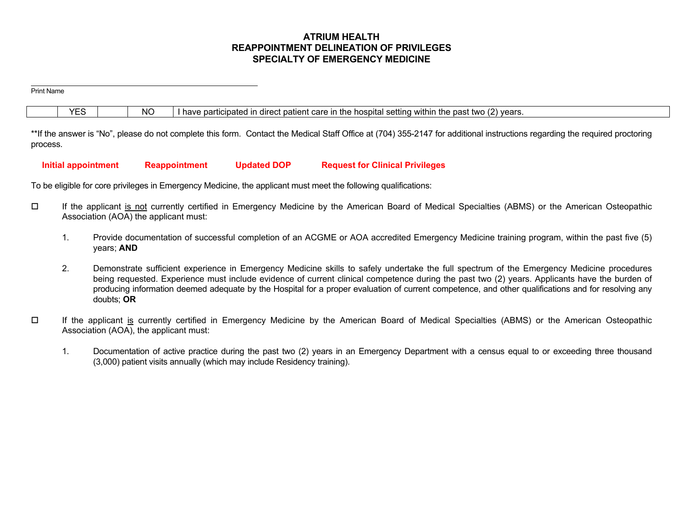# **ATRIUM HEALTH REAPPOINTMENT DELINEATION OF PRIVILEGES SPECIALTY OF EMERGENCY MEDICINE**

Print Name  $YES$   $\parallel$  NO I have participated in direct patient care in the hospital setting within the past two (2) years.

\*\*If the answer is "No", please do not complete this form. Contact the Medical Staff Office at (704) 355-2147 for additional instructions regarding the required proctoring process.

# **Initial appointment Reappointment Updated DOP Request for Clinical Privileges**

To be eligible for core privileges in Emergency Medicine, the applicant must meet the following qualifications:

- If the applicant is not currently certified in Emergency Medicine by the American Board of Medical Specialties (ABMS) or the American Osteopathic Association (AOA) the applicant must:
	- 1. Provide documentation of successful completion of an ACGME or AOA accredited Emergency Medicine training program, within the past five (5) years; **AND**
	- 2. Demonstrate sufficient experience in Emergency Medicine skills to safely undertake the full spectrum of the Emergency Medicine procedures being requested. Experience must include evidence of current clinical competence during the past two (2) years. Applicants have the burden of producing information deemed adequate by the Hospital for a proper evaluation of current competence, and other qualifications and for resolving any doubts; **OR**
- $\Box$  If the applicant is currently certified in Emergency Medicine by the American Board of Medical Specialties (ABMS) or the American Osteopathic Association (AOA), the applicant must:
	- 1. Documentation of active practice during the past two (2) years in an Emergency Department with a census equal to or exceeding three thousand (3,000) patient visits annually (which may include Residency training).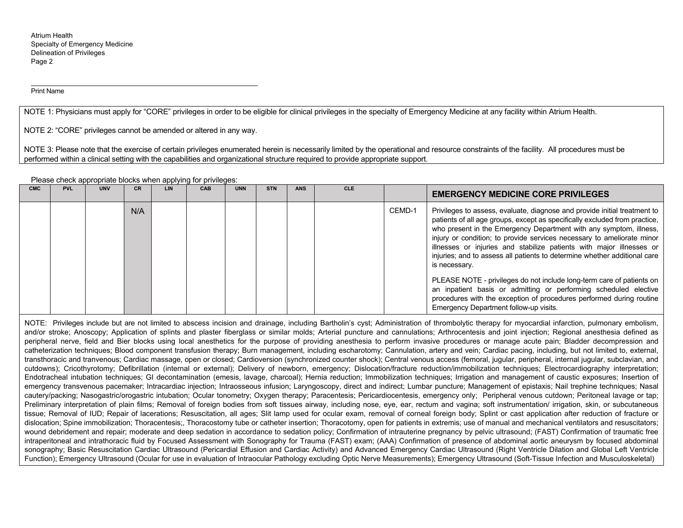Print Name

NOTE 1: Physicians must apply for "CORE" privileges in order to be eligible for clinical privileges in the specialty of Emergency Medicine at any facility within Atrium Health.

NOTE 2: "CORE" privileges cannot be amended or altered in any way.

NOTE 3: Please note that the exercise of certain privileges enumerated herein is necessarily limited by the operational and resource constraints of the facility. All procedures must be performed within a clinical setting with the capabilities and organizational structure required to provide appropriate support.

Please check appropriate blocks when applying for privileges:

| <b>CMC</b> | <b>PVL</b> | <b>UNV</b> | CR. | LIN | CAB | <b>UNN</b> | <b>STN</b> | <b>ANS</b> | <b>CLE</b> |        | <b>EMERGENCY MEDICINE CORE PRIVILEGES</b>                                                                                                                                                                                                                                                                                                                                                                                                                                     |
|------------|------------|------------|-----|-----|-----|------------|------------|------------|------------|--------|-------------------------------------------------------------------------------------------------------------------------------------------------------------------------------------------------------------------------------------------------------------------------------------------------------------------------------------------------------------------------------------------------------------------------------------------------------------------------------|
|            |            |            | N/A |     |     |            |            |            |            | CEMD-1 | Privileges to assess, evaluate, diagnose and provide initial treatment to<br>patients of all age groups, except as specifically excluded from practice,<br>who present in the Emergency Department with any symptom, illness,<br>injury or condition; to provide services necessary to ameliorate minor<br>illnesses or injuries and stabilize patients with major illnesses or<br>injuries; and to assess all patients to determine whether additional care<br>is necessary. |
|            |            |            |     |     |     |            |            |            |            |        | PLEASE NOTE - privileges do not include long-term care of patients on<br>an inpatient basis or admitting or performing scheduled elective<br>procedures with the exception of procedures performed during routine<br>Emergency Department follow-up visits.                                                                                                                                                                                                                   |

NOTE: Privileges include but are not limited to abscess incision and drainage, including Bartholin's cyst; Administration of thrombolytic therapy for myocardial infarction, pulmonary embolism, and/or stroke; Anoscopy; Application of splints and plaster fiberglass or similar molds; Arterial puncture and cannulations; Arthrocentesis and joint injection; Regional anesthesia defined as peripheral nerve, field and Bier blocks using local anesthetics for the purpose of providing anesthesia to perform invasive procedures or manage acute pain; Bladder decompression and catheterization techniques; Blood component transfusion therapy; Burn management, including escharotomy; Cannulation, artery and vein; Cardiac pacing, including, but not limited to, external, transthoracic and tranvenous; Cardiac massage, open or closed; Cardioversion (synchronized counter shock); Central venous access (femoral, jugular, peripheral, internal jugular, subclavian, and cutdowns); Cricothyrotomy; Defibrillation (internal or external); Delivery of newborn, emergency; Dislocation/fracture reduction/immobilization techniques; Electrocardiography interpretation; Endotracheal intubation techniques; GI decontamination (emesis, lavage, charcoal); Hernia reduction; Immobilization techniques; Irrigation and management of caustic exposures; Insertion of emergency transvenous pacemaker; Intracardiac injection; Intraosseous infusion; Laryngoscopy, direct and indirect; Lumbar puncture; Management of epistaxis; Nail trephine techniques; Nasal cautery/packing; Nasogastric/orogastric intubation; Ocular tonometry; Oxygen therapy; Paracentesis; Pericardiocentesis, emergency only; Peripheral venous cutdown; Peritoneal lavage or tap; Preliminary interpretation of plain films; Removal of foreign bodies from soft tissues airway, including nose, eye, ear, rectum and vagina; soft instrumentation/ irrigation, skin, or subcutaneous tissue; Removal of IUD; Repair of lacerations; Resuscitation, all ages; Slit lamp used for ocular exam, removal of corneal foreign body; Splint or cast application after reduction of fracture or dislocation; Spine immobilization; Thoracentesis;, Thoracostomy tube or catheter insertion; Thoracotomy, open for patients in extremis; use of manual and mechanical ventilators and resuscitators; wound debridement and repair; moderate and deep sedation in accordance to sedation policy; Confirmation of intrauterine pregnancy by pelvic ultrasound; (FAST) Confirmation of traumatic free intraperitoneal and intrathoracic fluid by Focused Assessment with Sonography for Trauma (FAST) exam; (AAA) Confirmation of presence of abdominal aortic aneurysm by focused abdominal sonography; Basic Resuscitation Cardiac Ultrasound (Pericardial Effusion and Cardiac Activity) and Advanced Emergency Cardiac Ultrasound (Right Ventricle Dilation and Global Left Ventricle Function); Emergency Ultrasound (Ocular for use in evaluation of Intraocular Pathology excluding Optic Nerve Measurements); Emergency Ultrasound (Soft-Tissue Infection and Musculoskeletal)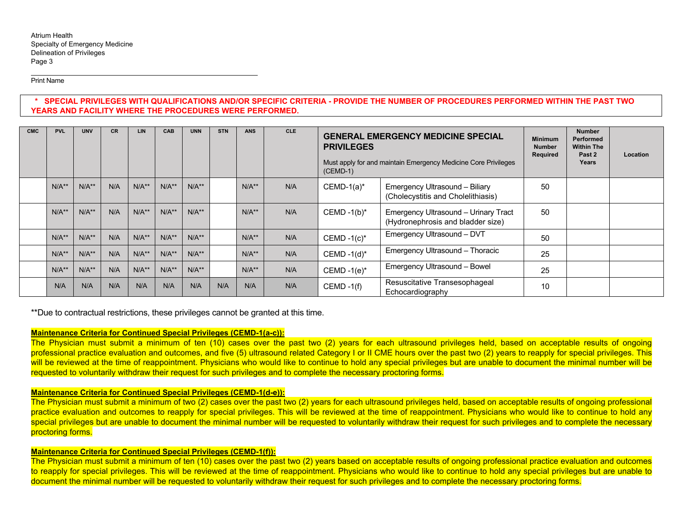Print Name

# **\* SPECIAL PRIVILEGES WITH QUALIFICATIONS AND/OR SPECIFIC CRITERIA - PROVIDE THE NUMBER OF PROCEDURES PERFORMED WITHIN THE PAST TWO YEARS AND FACILITY WHERE THE PROCEDURES WERE PERFORMED.**

| <b>CMC</b> | <b>PVL</b> | <b>UNV</b> | <b>CR</b> | <b>LIN</b> | CAB     | <b>UNN</b> | <b>STN</b> | <b>ANS</b> | <b>CLE</b> | <b>GENERAL EMERGENCY MEDICINE SPECIAL</b><br><b>PRIVILEGES</b><br>Must apply for and maintain Emergency Medicine Core Privileges<br>$(CEMD-1)$ |                                                                           | <b>Minimum</b><br><b>Number</b><br>Required | <b>Number</b><br><b>Performed</b><br><b>Within The</b><br>Past 2<br>Years | Location |
|------------|------------|------------|-----------|------------|---------|------------|------------|------------|------------|------------------------------------------------------------------------------------------------------------------------------------------------|---------------------------------------------------------------------------|---------------------------------------------|---------------------------------------------------------------------------|----------|
|            | $N/A**$    | $N/A**$    | N/A       | $N/A**$    | $N/A**$ | $N/A**$    |            | $N/A**$    | N/A        | $CEMD-1(a)*$                                                                                                                                   | Emergency Ultrasound - Biliary<br>(Cholecystitis and Cholelithiasis)      | 50                                          |                                                                           |          |
|            | $N/A**$    | $N/A**$    | N/A       | $N/A**$    | $N/A**$ | $N/A**$    |            | $N/A**$    | N/A        | CEMD $-1(b)^*$                                                                                                                                 | Emergency Ultrasound - Urinary Tract<br>(Hydronephrosis and bladder size) | 50                                          |                                                                           |          |
|            | $N/A**$    | $N/A**$    | N/A       | $N/A**$    | $N/A**$ | $N/A**$    |            | $N/A**$    | N/A        | CEMD $-1(c)^*$                                                                                                                                 | Emergency Ultrasound - DVT                                                | 50                                          |                                                                           |          |
|            | $N/A**$    | $N/A**$    | N/A       | $N/A**$    | $N/A**$ | $N/A**$    |            | $N/A**$    | N/A        | CEMD $-1$ (d)*                                                                                                                                 | Emergency Ultrasound - Thoracic                                           | 25                                          |                                                                           |          |
|            | $N/A**$    | $N/A**$    | N/A       | $N/A**$    | $N/A**$ | $N/A**$    |            | $N/A**$    | N/A        | CEMD $-1(e)^*$                                                                                                                                 | Emergency Ultrasound - Bowel                                              | 25                                          |                                                                           |          |
|            | N/A        | N/A        | N/A       | N/A        | N/A     | N/A        | N/A        | N/A        | N/A        | $CEMD - 1(f)$                                                                                                                                  | Resuscitative Transesophageal<br>Echocardiography                         | 10                                          |                                                                           |          |

\*\*Due to contractual restrictions, these privileges cannot be granted at this time.

### **Maintenance Criteria for Continued Special Privileges (CEMD-1(a-c)):**

The Physician must submit a minimum of ten (10) cases over the past two (2) years for each ultrasound privileges held, based on acceptable results of ongoing professional practice evaluation and outcomes, and five (5) ultrasound related Category I or II CME hours over the past two (2) years to reapply for special privileges. This will be reviewed at the time of reappointment. Physicians who would like to continue to hold any special privileges but are unable to document the minimal number will be requested to voluntarily withdraw their request for such privileges and to complete the necessary proctoring forms.

# **Maintenance Criteria for Continued Special Privileges (CEMD-1(d-e)):**

The Physician must submit a minimum of two (2) cases over the past two (2) years for each ultrasound privileges held, based on acceptable results of ongoing professional practice evaluation and outcomes to reapply for special privileges. This will be reviewed at the time of reappointment. Physicians who would like to continue to hold any special privileges but are unable to document the minimal number will be requested to voluntarily withdraw their request for such privileges and to complete the necessary proctoring forms.

# **Maintenance Criteria for Continued Special Privileges (CEMD-1(f)):**

The Physician must submit a minimum of ten (10) cases over the past two (2) years based on acceptable results of ongoing professional practice evaluation and outcomes to reapply for special privileges. This will be reviewed at the time of reappointment. Physicians who would like to continue to hold any special privileges but are unable to document the minimal number will be requested to voluntarily withdraw their request for such privileges and to complete the necessary proctoring forms.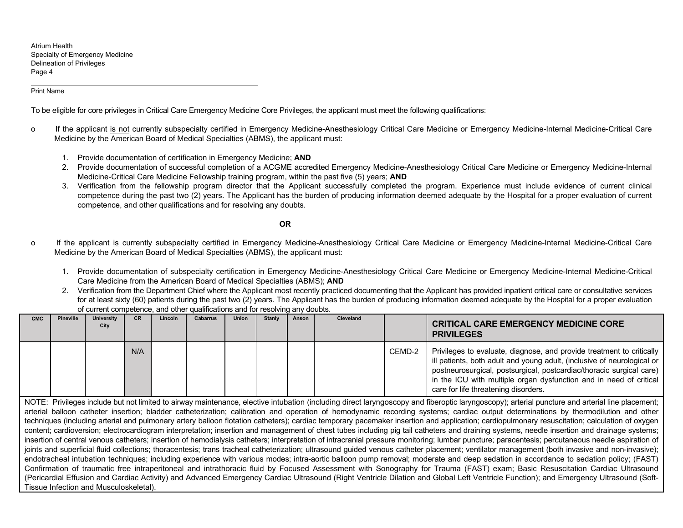#### Print Name

To be eligible for core privileges in Critical Care Emergency Medicine Core Privileges, the applicant must meet the following qualifications:

- o If the applicant is not currently subspecialty certified in Emergency Medicine-Anesthesiology Critical Care Medicine or Emergency Medicine-Internal Medicine-Critical Care Medicine by the American Board of Medical Specialties (ABMS), the applicant must:
	- 1. Provide documentation of certification in Emergency Medicine; **AND**
	- 2. Provide documentation of successful completion of a ACGME accredited Emergency Medicine-Anesthesiology Critical Care Medicine or Emergency Medicine-Internal Medicine-Critical Care Medicine Fellowship training program, within the past five (5) years; **AND**
	- 3. Verification from the fellowship program director that the Applicant successfully completed the program. Experience must include evidence of current clinical competence during the past two (2) years. The Applicant has the burden of producing information deemed adequate by the Hospital for a proper evaluation of current competence, and other qualifications and for resolving any doubts.

#### **OR**

- o If the applicant is currently subspecialty certified in Emergency Medicine-Anesthesiology Critical Care Medicine or Emergency Medicine-Internal Medicine-Critical Care Medicine by the American Board of Medical Specialties (ABMS), the applicant must:
	- 1. Provide documentation of subspecialty certification in Emergency Medicine-Anesthesiology Critical Care Medicine or Emergency Medicine-Internal Medicine-Critical Care Medicine from the American Board of Medical Specialties (ABMS); **AND**
	- 2. Verification from the Department Chief where the Applicant most recently practiced documenting that the Applicant has provided inpatient critical care or consultative services for at least sixty (60) patients during the past two (2) years. The Applicant has the burden of producing information deemed adequate by the Hospital for a proper evaluation of current competence, and other qualifications and for resolving any doubts.

| <b>CMC</b> | <b>Pineville</b> | <b>University</b><br>City | <b>CR</b> | Lincoln | <b>Cabarrus</b> | <b>Union</b> | <b>Stanly</b> | Anson | Cleveland |        | <b>CRITICAL CARE EMERGENCY MEDICINE CORE</b><br><b>PRIVILEGES</b>                                                                                                                                                                                                                                                                      |
|------------|------------------|---------------------------|-----------|---------|-----------------|--------------|---------------|-------|-----------|--------|----------------------------------------------------------------------------------------------------------------------------------------------------------------------------------------------------------------------------------------------------------------------------------------------------------------------------------------|
|            |                  |                           | N/A       |         |                 |              |               |       |           | CEMD-2 | Privileges to evaluate, diagnose, and provide treatment to critically<br>ill patients, both adult and young adult, (inclusive of neurological or<br>postneurosurgical, postsurgical, postcardiac/thoracic surgical care)<br>in the ICU with multiple organ dysfunction and in need of critical<br>care for life threatening disorders. |

NOTE: Privileges include but not limited to airway maintenance, elective intubation (including direct laryngoscopy and fiberoptic laryngoscopy); arterial puncture and arterial line placement; arterial balloon catheter insertion; bladder catheterization; calibration and operation of hemodynamic recording systems; cardiac output determinations by thermodilution and other techniques (including arterial and pulmonary artery balloon flotation catheters); cardiac temporary pacemaker insertion and application; cardiopulmonary resuscitation; calculation of oxygen content; cardioversion; electrocardiogram interpretation; insertion and management of chest tubes including pig tail catheters and draining systems, needle insertion and drainage systems; insertion of central venous catheters; insertion of hemodialysis catheters; interpretation of intracranial pressure monitoring; lumbar puncture; paracentesis; percutaneous needle aspiration of joints and superficial fluid collections; thoracentesis; trans tracheal catheterization; ultrasound quided venous catheter placement; ventilator management (both invasive and non-invasive); endotracheal intubation techniques; including experience with various modes; intra-aortic balloon pump removal; moderate and deep sedation in accordance to sedation policy; (FAST) Confirmation of traumatic free intraperitoneal and intrathoracic fluid by Focused Assessment with Sonography for Trauma (FAST) exam; Basic Resuscitation Cardiac Ultrasound (Pericardial Effusion and Cardiac Activity) and Advanced Emergency Cardiac Ultrasound (Right Ventricle Dilation and Global Left Ventricle Function); and Emergency Ultrasound (Soft-Tissue Infection and Musculoskeletal).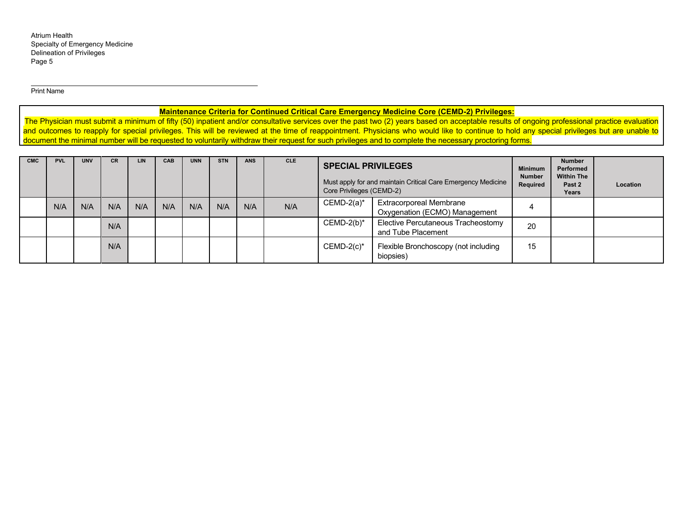Print Name

# **Maintenance Criteria for Continued Critical Care Emergency Medicine Core (CEMD-2) Privileges:**

The Physician must submit a minimum of fifty (50) inpatient and/or consultative services over the past two (2) years based on acceptable results of ongoing professional practice evaluation and outcomes to reapply for special privileges. This will be reviewed at the time of reappointment. Physicians who would like to continue to hold any special privileges but are unable to document the minimal number will be requested to voluntarily withdraw their request for such privileges and to complete the necessary proctoring forms.

| <b>CMC</b> | <b>PVL</b> | <b>UNV</b> | <b>CR</b> | LIN | CAB | <b>UNN</b> | <b>STN</b> | <b>ANS</b> | <b>CLE</b> |               | <b>SPECIAL PRIVILEGES</b><br>Must apply for and maintain Critical Care Emergency Medicine<br>Core Privileges (CEMD-2) |    | <b>Number</b><br>Performed<br><b>Within The</b><br>Past 2<br>Years | Location |
|------------|------------|------------|-----------|-----|-----|------------|------------|------------|------------|---------------|-----------------------------------------------------------------------------------------------------------------------|----|--------------------------------------------------------------------|----------|
|            | N/A        | N/A        | N/A       | N/A | N/A | N/A        | N/A        | N/A        | N/A        | $CEMD-2(a)*$  | <b>Extracorporeal Membrane</b><br>Oxygenation (ECMO) Management                                                       |    |                                                                    |          |
|            |            |            | N/A       |     |     |            |            |            |            | $CEMD-2(b)*$  | Elective Percutaneous Tracheostomy<br>and Tube Placement                                                              | 20 |                                                                    |          |
|            |            |            | N/A       |     |     |            |            |            |            | $CEMD-2(c)$ * | Flexible Bronchoscopy (not including<br>biopsies)                                                                     | 15 |                                                                    |          |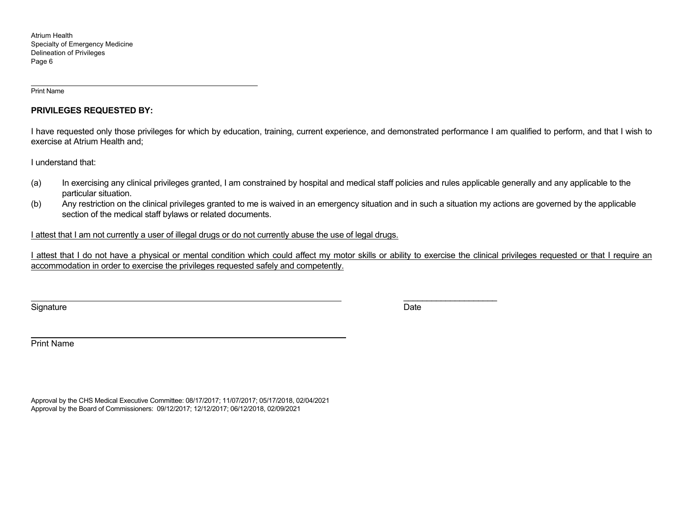Print Name

# **PRIVILEGES REQUESTED BY:**

I have requested only those privileges for which by education, training, current experience, and demonstrated performance I am qualified to perform, and that I wish to exercise at Atrium Health and;

I understand that:

- (a) In exercising any clinical privileges granted, I am constrained by hospital and medical staff policies and rules applicable generally and any applicable to the particular situation.
- (b) Any restriction on the clinical privileges granted to me is waived in an emergency situation and in such a situation my actions are governed by the applicable section of the medical staff bylaws or related documents.

I attest that I am not currently a user of illegal drugs or do not currently abuse the use of legal drugs.

I attest that I do not have a physical or mental condition which could affect my motor skills or ability to exercise the clinical privileges requested or that I require an accommodation in order to exercise the privileges requested safely and competently.

Signature Date Date of the Signature Date of the Date of the Date of the Date of the Date of the Date of the D

\_\_\_\_\_\_\_\_\_\_\_\_\_\_\_\_\_\_\_\_

Print Name

Approval by the CHS Medical Executive Committee: 08/17/2017; 11/07/2017; 05/17/2018, 02/04/2021 Approval by the Board of Commissioners: 09/12/2017; 12/12/2017; 06/12/2018, 02/09/2021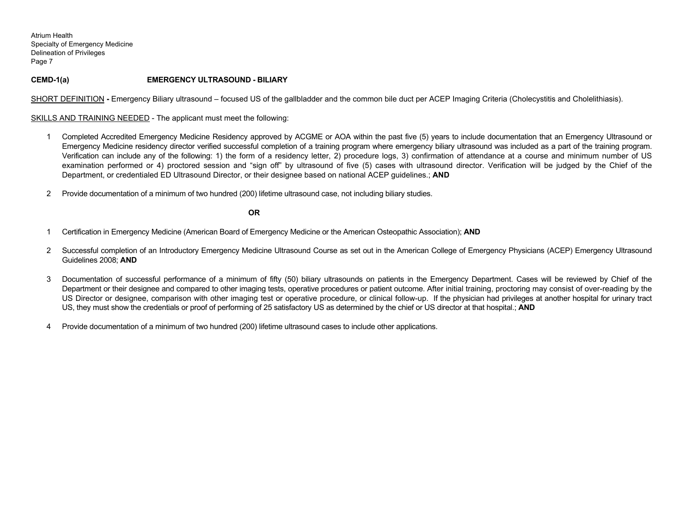## **CEMD-1(a) EMERGENCY ULTRASOUND - BILIARY**

SHORT DEFINITION - Emergency Biliary ultrasound – focused US of the gallbladder and the common bile duct per ACEP Imaging Criteria (Cholecystitis and Cholelithiasis).

SKILLS AND TRAINING NEEDED - The applicant must meet the following:

- 1 Completed Accredited Emergency Medicine Residency approved by ACGME or AOA within the past five (5) years to include documentation that an Emergency Ultrasound or Emergency Medicine residency director verified successful completion of a training program where emergency biliary ultrasound was included as a part of the training program. Verification can include any of the following: 1) the form of a residency letter, 2) procedure logs, 3) confirmation of attendance at a course and minimum number of US examination performed or 4) proctored session and "sign off" by ultrasound of five (5) cases with ultrasound director. Verification will be judged by the Chief of the Department, or credentialed ED Ultrasound Director, or their designee based on national ACEP guidelines.; **AND**
- 2 Provide documentation of a minimum of two hundred (200) lifetime ultrasound case, not including biliary studies.

- 1 Certification in Emergency Medicine (American Board of Emergency Medicine or the American Osteopathic Association); **AND**
- 2 Successful completion of an Introductory Emergency Medicine Ultrasound Course as set out in the American College of Emergency Physicians (ACEP) Emergency Ultrasound Guidelines 2008; **AND**
- 3 Documentation of successful performance of a minimum of fifty (50) biliary ultrasounds on patients in the Emergency Department. Cases will be reviewed by Chief of the Department or their designee and compared to other imaging tests, operative procedures or patient outcome. After initial training, proctoring may consist of over-reading by the US Director or designee, comparison with other imaging test or operative procedure, or clinical follow-up. If the physician had privileges at another hospital for urinary tract US, they must show the credentials or proof of performing of 25 satisfactory US as determined by the chief or US director at that hospital.; **AND**
- 4 Provide documentation of a minimum of two hundred (200) lifetime ultrasound cases to include other applications.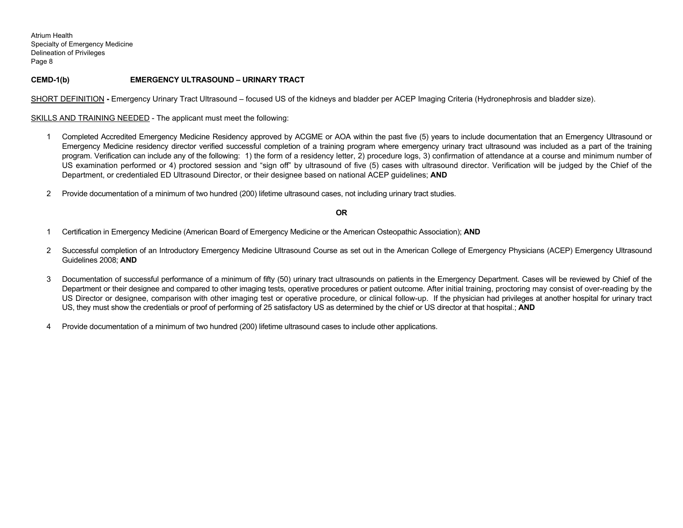## **CEMD-1(b) EMERGENCY ULTRASOUND – URINARY TRACT**

SHORT DEFINITION **-** Emergency Urinary Tract Ultrasound – focused US of the kidneys and bladder per ACEP Imaging Criteria (Hydronephrosis and bladder size).

SKILLS AND TRAINING NEEDED - The applicant must meet the following:

- 1 Completed Accredited Emergency Medicine Residency approved by ACGME or AOA within the past five (5) years to include documentation that an Emergency Ultrasound or Emergency Medicine residency director verified successful completion of a training program where emergency urinary tract ultrasound was included as a part of the training program. Verification can include any of the following: 1) the form of a residency letter, 2) procedure logs, 3) confirmation of attendance at a course and minimum number of US examination performed or 4) proctored session and "sign off" by ultrasound of five (5) cases with ultrasound director. Verification will be judged by the Chief of the Department, or credentialed ED Ultrasound Director, or their designee based on national ACEP guidelines; **AND**
- 2 Provide documentation of a minimum of two hundred (200) lifetime ultrasound cases, not including urinary tract studies.

- 1 Certification in Emergency Medicine (American Board of Emergency Medicine or the American Osteopathic Association); **AND**
- 2 Successful completion of an Introductory Emergency Medicine Ultrasound Course as set out in the American College of Emergency Physicians (ACEP) Emergency Ultrasound Guidelines 2008; **AND**
- 3 Documentation of successful performance of a minimum of fifty (50) urinary tract ultrasounds on patients in the Emergency Department. Cases will be reviewed by Chief of the Department or their designee and compared to other imaging tests, operative procedures or patient outcome. After initial training, proctoring may consist of over-reading by the US Director or designee, comparison with other imaging test or operative procedure, or clinical follow-up. If the physician had privileges at another hospital for urinary tract US, they must show the credentials or proof of performing of 25 satisfactory US as determined by the chief or US director at that hospital.; **AND**
- 4 Provide documentation of a minimum of two hundred (200) lifetime ultrasound cases to include other applications.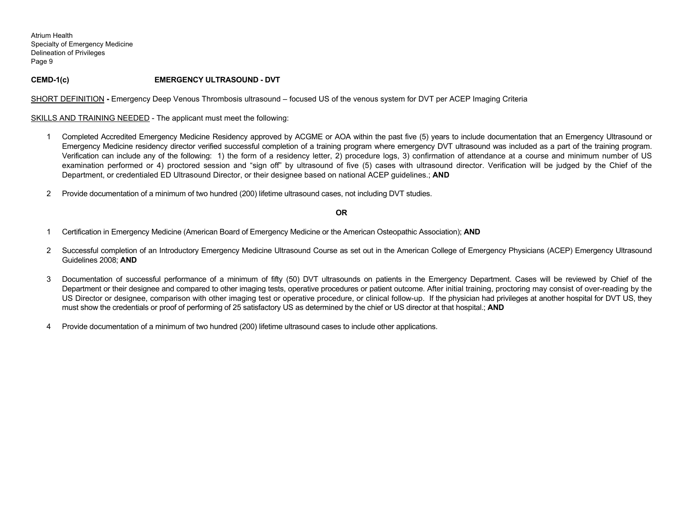# **CEMD-1(c) EMERGENCY ULTRASOUND - DVT**

SHORT DEFINITION **-** Emergency Deep Venous Thrombosis ultrasound – focused US of the venous system for DVT per ACEP Imaging Criteria

SKILLS AND TRAINING NEEDED - The applicant must meet the following:

- 1 Completed Accredited Emergency Medicine Residency approved by ACGME or AOA within the past five (5) years to include documentation that an Emergency Ultrasound or Emergency Medicine residency director verified successful completion of a training program where emergency DVT ultrasound was included as a part of the training program. Verification can include any of the following: 1) the form of a residency letter, 2) procedure logs, 3) confirmation of attendance at a course and minimum number of US examination performed or 4) proctored session and "sign off" by ultrasound of five (5) cases with ultrasound director. Verification will be judged by the Chief of the Department, or credentialed ED Ultrasound Director, or their designee based on national ACEP guidelines.; **AND**
- 2 Provide documentation of a minimum of two hundred (200) lifetime ultrasound cases, not including DVT studies.

- 1 Certification in Emergency Medicine (American Board of Emergency Medicine or the American Osteopathic Association); **AND**
- 2 Successful completion of an Introductory Emergency Medicine Ultrasound Course as set out in the American College of Emergency Physicians (ACEP) Emergency Ultrasound Guidelines 2008; **AND**
- 3 Documentation of successful performance of a minimum of fifty (50) DVT ultrasounds on patients in the Emergency Department. Cases will be reviewed by Chief of the Department or their designee and compared to other imaging tests, operative procedures or patient outcome. After initial training, proctoring may consist of over-reading by the US Director or designee, comparison with other imaging test or operative procedure, or clinical follow-up. If the physician had privileges at another hospital for DVT US, they must show the credentials or proof of performing of 25 satisfactory US as determined by the chief or US director at that hospital.; **AND**
- 4 Provide documentation of a minimum of two hundred (200) lifetime ultrasound cases to include other applications.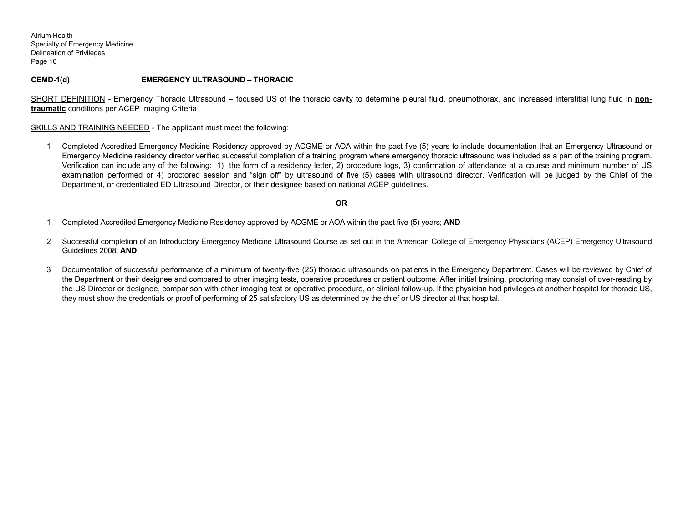**CEMD-1(d) EMERGENCY ULTRASOUND – THORACIC** 

SHORT DEFINITION - Emergency Thoracic Ultrasound – focused US of the thoracic cavity to determine pleural fluid, pneumothorax, and increased interstitial lung fluid in non**traumatic** conditions per ACEP Imaging Criteria

SKILLS AND TRAINING NEEDED - The applicant must meet the following:

1 Completed Accredited Emergency Medicine Residency approved by ACGME or AOA within the past five (5) years to include documentation that an Emergency Ultrasound or Emergency Medicine residency director verified successful completion of a training program where emergency thoracic ultrasound was included as a part of the training program. Verification can include any of the following: 1) the form of a residency letter, 2) procedure logs, 3) confirmation of attendance at a course and minimum number of US examination performed or 4) proctored session and "sign off" by ultrasound of five (5) cases with ultrasound director. Verification will be judged by the Chief of the Department, or credentialed ED Ultrasound Director, or their designee based on national ACEP guidelines.

- 1 Completed Accredited Emergency Medicine Residency approved by ACGME or AOA within the past five (5) years; **AND**
- 2 Successful completion of an Introductory Emergency Medicine Ultrasound Course as set out in the American College of Emergency Physicians (ACEP) Emergency Ultrasound Guidelines 2008; **AND**
- 3 Documentation of successful performance of a minimum of twenty-five (25) thoracic ultrasounds on patients in the Emergency Department. Cases will be reviewed by Chief of the Department or their designee and compared to other imaging tests, operative procedures or patient outcome. After initial training, proctoring may consist of over-reading by the US Director or designee, comparison with other imaging test or operative procedure, or clinical follow-up. If the physician had privileges at another hospital for thoracic US, they must show the credentials or proof of performing of 25 satisfactory US as determined by the chief or US director at that hospital.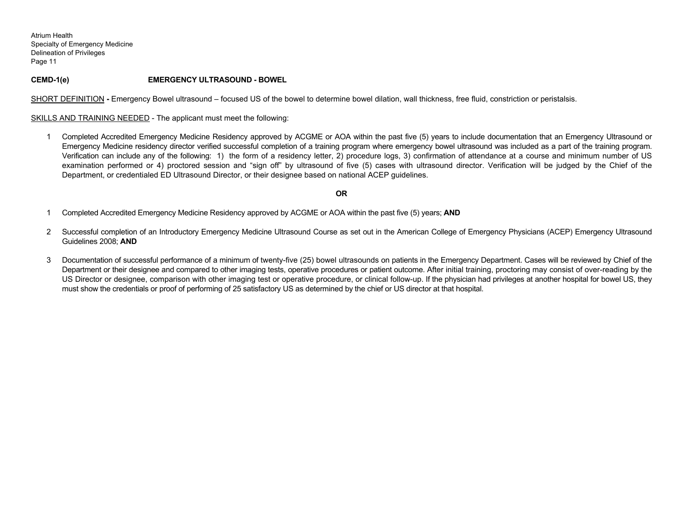# **CEMD-1(e) EMERGENCY ULTRASOUND - BOWEL**

SHORT DEFINITION - Emergency Bowel ultrasound – focused US of the bowel to determine bowel dilation, wall thickness, free fluid, constriction or peristalsis.

SKILLS AND TRAINING NEEDED - The applicant must meet the following:

1 Completed Accredited Emergency Medicine Residency approved by ACGME or AOA within the past five (5) years to include documentation that an Emergency Ultrasound or Emergency Medicine residency director verified successful completion of a training program where emergency bowel ultrasound was included as a part of the training program. Verification can include any of the following: 1) the form of a residency letter, 2) procedure logs, 3) confirmation of attendance at a course and minimum number of US examination performed or 4) proctored session and "sign off" by ultrasound of five (5) cases with ultrasound director. Verification will be judged by the Chief of the Department, or credentialed ED Ultrasound Director, or their designee based on national ACEP guidelines.

- 1 Completed Accredited Emergency Medicine Residency approved by ACGME or AOA within the past five (5) years; **AND**
- 2 Successful completion of an Introductory Emergency Medicine Ultrasound Course as set out in the American College of Emergency Physicians (ACEP) Emergency Ultrasound Guidelines 2008; **AND**
- 3 Documentation of successful performance of a minimum of twenty-five (25) bowel ultrasounds on patients in the Emergency Department. Cases will be reviewed by Chief of the Department or their designee and compared to other imaging tests, operative procedures or patient outcome. After initial training, proctoring may consist of over-reading by the US Director or designee, comparison with other imaging test or operative procedure, or clinical follow-up. If the physician had privileges at another hospital for bowel US, they must show the credentials or proof of performing of 25 satisfactory US as determined by the chief or US director at that hospital.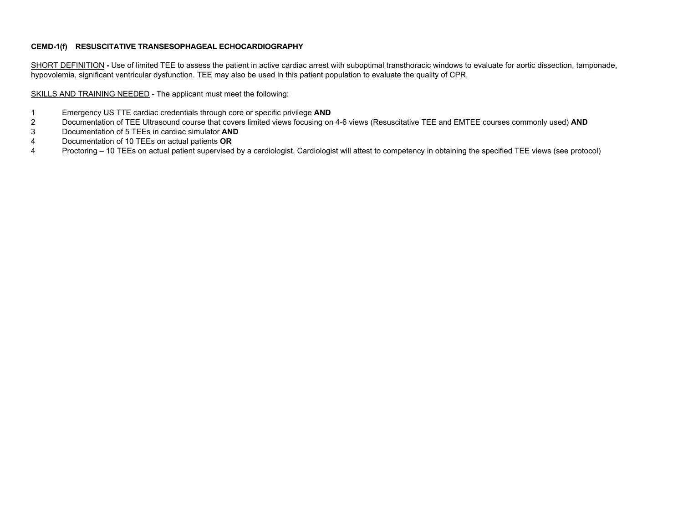# **CEMD-1(f) RESUSCITATIVE TRANSESOPHAGEAL ECHOCARDIOGRAPHY**

SHORT DEFINITION - Use of limited TEE to assess the patient in active cardiac arrest with suboptimal transthoracic windows to evaluate for aortic dissection, tamponade, hypovolemia, significant ventricular dysfunction. TEE may also be used in this patient population to evaluate the quality of CPR.

SKILLS AND TRAINING NEEDED - The applicant must meet the following:

- 1 Emergency US TTE cardiac credentials through core or specific privilege **AND**
- 2 Documentation of TEE Ultrasound course that covers limited views focusing on 4-6 views (Resuscitative TEE and EMTEE courses commonly used) **AND**
- 3 Documentation of 5 TEEs in cardiac simulator **AND**
- 4 Documentation of 10 TEEs on actual patients **OR**
- 4 Proctoring 10 TEEs on actual patient supervised by a cardiologist. Cardiologist will attest to competency in obtaining the specified TEE views (see protocol)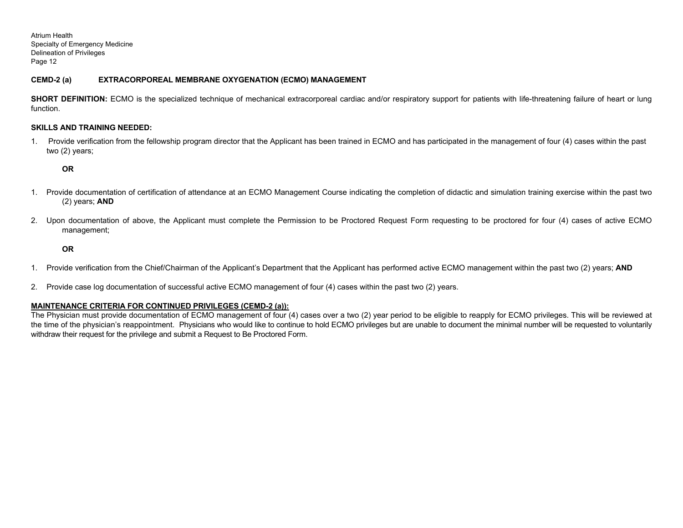## **CEMD-2 (a) EXTRACORPOREAL MEMBRANE OXYGENATION (ECMO) MANAGEMENT**

**SHORT DEFINITION:** ECMO is the specialized technique of mechanical extracorporeal cardiac and/or respiratory support for patients with life-threatening failure of heart or lung function.

### **SKILLS AND TRAINING NEEDED:**

1. Provide verification from the fellowship program director that the Applicant has been trained in ECMO and has participated in the management of four (4) cases within the past two (2) years;

### **OR**

- 1. Provide documentation of certification of attendance at an ECMO Management Course indicating the completion of didactic and simulation training exercise within the past two (2) years; **AND**
- 2. Upon documentation of above, the Applicant must complete the Permission to be Proctored Request Form requesting to be proctored for four (4) cases of active ECMO management;

### **OR**

- 1. Provide verification from the Chief/Chairman of the Applicant's Department that the Applicant has performed active ECMO management within the past two (2) years; **AND**
- 2. Provide case log documentation of successful active ECMO management of four (4) cases within the past two (2) years.

### **MAINTENANCE CRITERIA FOR CONTINUED PRIVILEGES (CEMD-2 (a)):**

The Physician must provide documentation of ECMO management of four (4) cases over a two (2) year period to be eligible to reapply for ECMO privileges. This will be reviewed at the time of the physician's reappointment. Physicians who would like to continue to hold ECMO privileges but are unable to document the minimal number will be requested to voluntarily withdraw their request for the privilege and submit a Request to Be Proctored Form.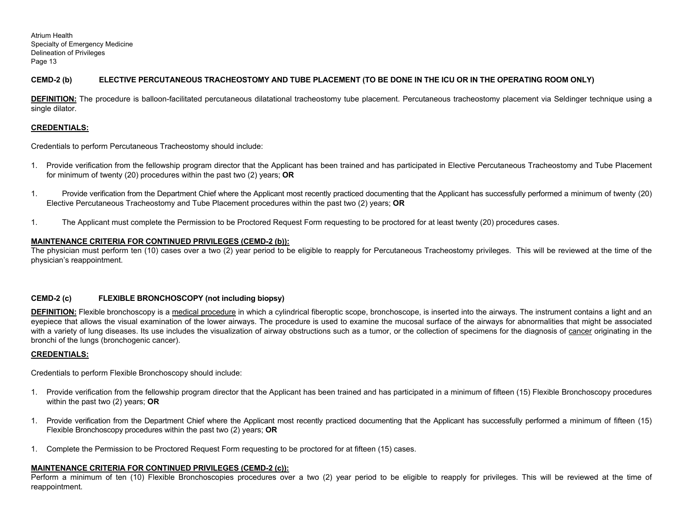# **CEMD-2 (b) ELECTIVE PERCUTANEOUS TRACHEOSTOMY AND TUBE PLACEMENT (TO BE DONE IN THE ICU OR IN THE OPERATING ROOM ONLY)**

**DEFINITION:** The procedure is balloon-facilitated percutaneous dilatational tracheostomy tube placement. Percutaneous tracheostomy placement via Seldinger technique using a single dilator.

# **CREDENTIALS:**

Credentials to perform Percutaneous Tracheostomy should include:

- 1. Provide verification from the fellowship program director that the Applicant has been trained and has participated in Elective Percutaneous Tracheostomy and Tube Placement for minimum of twenty (20) procedures within the past two (2) years; **OR**
- 1. Provide verification from the Department Chief where the Applicant most recently practiced documenting that the Applicant has successfully performed a minimum of twenty (20) Elective Percutaneous Tracheostomy and Tube Placement procedures within the past two (2) years; **OR**
- 1. The Applicant must complete the Permission to be Proctored Request Form requesting to be proctored for at least twenty (20) procedures cases.

# **MAINTENANCE CRITERIA FOR CONTINUED PRIVILEGES (CEMD-2 (b)):**

The physician must perform ten (10) cases over a two (2) year period to be eligible to reapply for Percutaneous Tracheostomy privileges. This will be reviewed at the time of the physician's reappointment.

### **CEMD-2 (c) FLEXIBLE BRONCHOSCOPY (not including biopsy)**

**DEFINITION:** Flexible bronchoscopy is a medical procedure in which a cylindrical fiberoptic scope, bronchoscope, is inserted into the airways. The instrument contains a light and an eyepiece that allows the visual examination of the lower airways. The procedure is used to examine the mucosal surface of the airways for abnormalities that might be associated with a variety of lung diseases. Its use includes the visualization of airway obstructions such as a tumor, or the collection of specimens for the diagnosis of cancer originating in the bronchi of the lungs (bronchogenic cancer).

### **CREDENTIALS:**

Credentials to perform Flexible Bronchoscopy should include:

- 1. Provide verification from the fellowship program director that the Applicant has been trained and has participated in a minimum of fifteen (15) Flexible Bronchoscopy procedures within the past two (2) years; **OR**
- 1. Provide verification from the Department Chief where the Applicant most recently practiced documenting that the Applicant has successfully performed a minimum of fifteen (15) Flexible Bronchoscopy procedures within the past two (2) years; **OR**
- 1. Complete the Permission to be Proctored Request Form requesting to be proctored for at fifteen (15) cases.

### **MAINTENANCE CRITERIA FOR CONTINUED PRIVILEGES (CEMD-2 (c)):**

Perform a minimum of ten (10) Flexible Bronchoscopies procedures over a two (2) year period to be eligible to reapply for privileges. This will be reviewed at the time of reappointment.